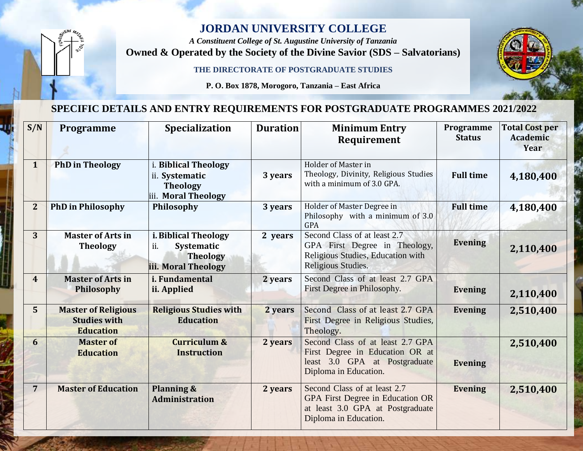## **JORDAN UNIVERSITY COLLEGE**

*A Constituent College of St. Augustine University of Tanzania* **Owned & Operated by the Society of the Divine Savior (SDS – Salvatorians)** 

**THE DIRECTORATE OF POSTGRADUATE STUDIES**

**P. O. Box 1878, Morogoro, Tanzania – East Africa**

## **SPECIFIC DETAILS AND ENTRY REQUIREMENTS FOR POSTGRADUATE PROGRAMMES 2021/2022**

| S/N            | Programme                                                             | Specialization                                                                      | <b>Duration</b> | <b>Minimum Entry</b><br><b>Requirement</b>                                                                                    | Programme<br><b>Status</b> | <b>Total Cost per</b><br>Academic<br>Year |
|----------------|-----------------------------------------------------------------------|-------------------------------------------------------------------------------------|-----------------|-------------------------------------------------------------------------------------------------------------------------------|----------------------------|-------------------------------------------|
| $\mathbf{1}$   | <b>PhD</b> in Theology                                                | i. Biblical Theology<br>ii. Systematic<br><b>Theology</b><br>iii. Moral Theology    | 3 years         | Holder of Master in<br>Theology, Divinity, Religious Studies<br>with a minimum of 3.0 GPA.                                    | <b>Full time</b>           | 4,180,400                                 |
| $\overline{2}$ | <b>PhD</b> in Philosophy                                              | Philosophy                                                                          | 3 years         | Holder of Master Degree in<br>Philosophy with a minimum of 3.0<br><b>GPA</b>                                                  | <b>Full time</b>           | 4,180,400                                 |
| 3              | <b>Master of Arts in</b><br><b>Theology</b>                           | i. Biblical Theology<br>ii.<br>Systematic<br><b>Theology</b><br>iii. Moral Theology | 2 years         | Second Class of at least 2.7<br>GPA First Degree in Theology,<br>Religious Studies, Education with<br>Religious Studies.      | <b>Evening</b>             | 2,110,400                                 |
| $\overline{4}$ | <b>Master of Arts in</b><br>Philosophy                                | i. Fundamental<br>ii. Applied                                                       | 2 years         | Second Class of at least 2.7 GPA<br>First Degree in Philosophy.                                                               | <b>Evening</b>             | 2,110,400                                 |
| 5              | <b>Master of Religious</b><br><b>Studies with</b><br><b>Education</b> | <b>Religious Studies with</b><br><b>Education</b>                                   | 2 years         | Second Class of at least 2.7 GPA<br>First Degree in Religious Studies,<br>Theology.                                           | <b>Evening</b>             | 2,510,400                                 |
| 6              | <b>Master of</b><br><b>Education</b>                                  | <b>Curriculum &amp;</b><br><b>Instruction</b>                                       | 2 years         | Second Class of at least 2.7 GPA<br>First Degree in Education OR at<br>least 3.0 GPA at Postgraduate<br>Diploma in Education. | <b>Evening</b>             | 2,510,400                                 |
| $\overline{7}$ | <b>Master of Education</b>                                            | Planning &<br><b>Administration</b>                                                 | 2 years         | Second Class of at least 2.7<br>GPA First Degree in Education OR<br>at least 3.0 GPA at Postgraduate<br>Diploma in Education. | <b>Evening</b>             | 2,510,400                                 |